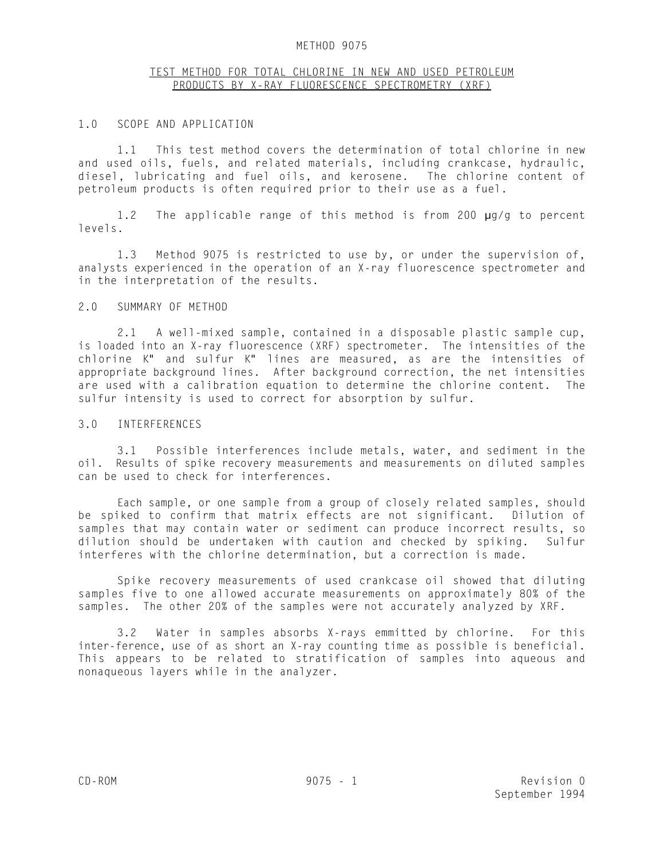#### METHOD 9075

## TEST METHOD FOR TOTAL CHLORINE IN NEW AND USED PETROLEUM PRODUCTS BY X-RAY FLUORESCENCE SPECTROMETRY (XRF)

#### 1.0 SCOPE AND APPLICATION

1.1 This test method covers the determination of total chlorine in new and used oils, fuels, and related materials, including crankcase, hydraulic, diesel, lubricating and fuel oils, and kerosene. The chlorine content of petroleum products is often required prior to their use as a fuel.

1.2 The applicable range of this method is from 200 µg/g to percent levels.

1.3 Method 9075 is restricted to use by, or under the supervision of, analysts experienced in the operation of an X-ray fluorescence spectrometer and in the interpretation of the results.

## 2.0 SUMMARY OF METHOD

2.1 A well-mixed sample, contained in a disposable plastic sample cup, is loaded into an X-ray fluorescence (XRF) spectrometer. The intensities of the chlorine K" and sulfur K" lines are measured, as are the intensities of appropriate background lines. After background correction, the net intensities are used with a calibration equation to determine the chlorine content. The sulfur intensity is used to correct for absorption by sulfur.

#### 3.0 INTERFERENCES

3.1 Possible interferences include metals, water, and sediment in the oil. Results of spike recovery measurements and measurements on diluted samples can be used to check for interferences.

Each sample, or one sample from a group of closely related samples, should be spiked to confirm that matrix effects are not significant. Dilution of samples that may contain water or sediment can produce incorrect results, so dilution should be undertaken with caution and checked by spiking. Sulfur interferes with the chlorine determination, but a correction is made.

Spike recovery measurements of used crankcase oil showed that diluting samples five to one allowed accurate measurements on approximately 80% of the samples. The other 20% of the samples were not accurately analyzed by XRF.

3.2 Water in samples absorbs X-rays emmitted by chlorine. For this inter-ference, use of as short an X-ray counting time as possible is beneficial. This appears to be related to stratification of samples into aqueous and nonaqueous layers while in the analyzer.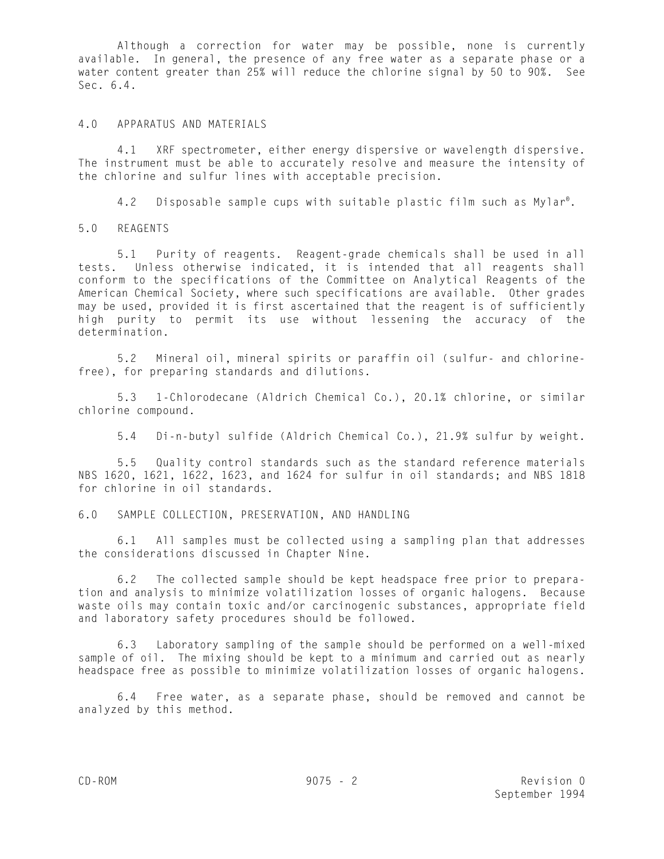Although a correction for water may be possible, none is currently available. In general, the presence of any free water as a separate phase or a water content greater than 25% will reduce the chlorine signal by 50 to 90%. See Sec. 6.4.

#### 4.0 APPARATUS AND MATERIALS

4.1 XRF spectrometer, either energy dispersive or wavelength dispersive. The instrument must be able to accurately resolve and measure the intensity of the chlorine and sulfur lines with acceptable precision.

4.2 Disposable sample cups with suitable plastic film such as Mylar<sup>®</sup>.

5.0 REAGENTS

5.1 Purity of reagents. Reagent-grade chemicals shall be used in all tests. Unless otherwise indicated, it is intended that all reagents shall conform to the specifications of the Committee on Analytical Reagents of the American Chemical Society, where such specifications are available. Other grades may be used, provided it is first ascertained that the reagent is of sufficiently high purity to permit its use without lessening the accuracy of the determination.

5.2 Mineral oil, mineral spirits or paraffin oil (sulfur- and chlorinefree), for preparing standards and dilutions.

5.3 1-Chlorodecane (Aldrich Chemical Co.), 20.1% chlorine, or similar chlorine compound.

5.4 Di-n-butyl sulfide (Aldrich Chemical Co.), 21.9% sulfur by weight.

5.5 Quality control standards such as the standard reference materials NBS 1620, 1621, 1622, 1623, and 1624 for sulfur in oil standards; and NBS 1818 for chlorine in oil standards.

6.0 SAMPLE COLLECTION, PRESERVATION, AND HANDLING

6.1 All samples must be collected using a sampling plan that addresses the considerations discussed in Chapter Nine.

6.2 The collected sample should be kept headspace free prior to preparation and analysis to minimize volatilization losses of organic halogens. Because waste oils may contain toxic and/or carcinogenic substances, appropriate field and laboratory safety procedures should be followed.

6.3 Laboratory sampling of the sample should be performed on a well-mixed sample of oil. The mixing should be kept to a minimum and carried out as nearly headspace free as possible to minimize volatilization losses of organic halogens.

6.4 Free water, as a separate phase, should be removed and cannot be analyzed by this method.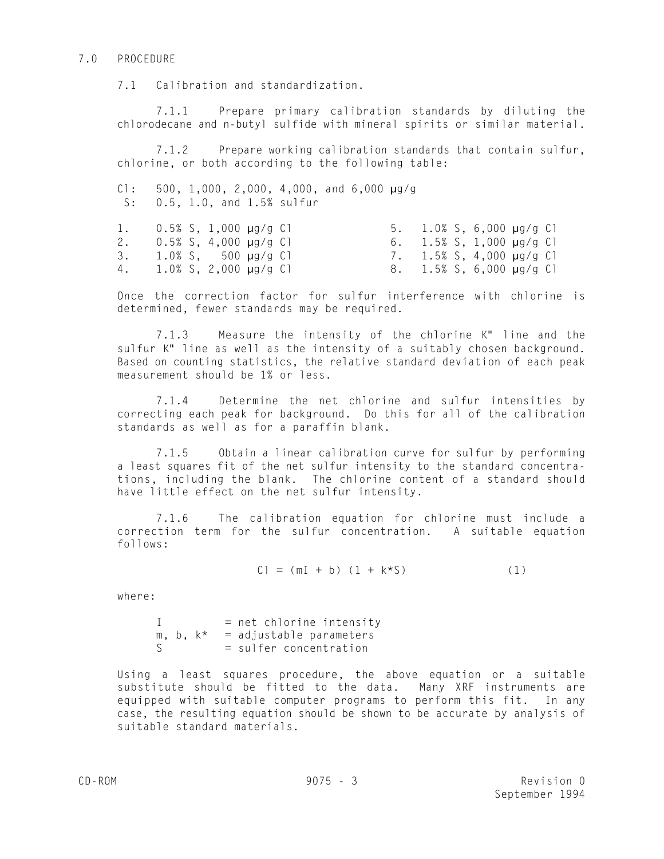#### 7.0 PROCEDURE

7.1 Calibration and standardization.

7.1.1 Prepare primary calibration standards by diluting the chlorodecane and n-butyl sulfide with mineral spirits or similar material.

7.1.2 Prepare working calibration standards that contain sulfur, chlorine, or both according to the following table:

 $C1: 500, 1,000, 2,000, 4,000,$  and  $6,000 \mu g/g$ S: 0.5, 1.0, and 1.5% sulfur

|  | 1. $0.5\%$ S, 1,000 $\mu$ g/g Cl |  |  | 5. 1.0% S, 6,000 $\mu$ g/g C1    |  |
|--|----------------------------------|--|--|----------------------------------|--|
|  | 2. $0.5\%$ S, 4,000 $\mu$ g/g C1 |  |  | 6. 1.5% S, 1,000 $\mu$ g/g Cl    |  |
|  | $3. 1.0\%$ S, $500 \mu q/q$ C    |  |  | 7. $1.5\%$ S, 4,000 $\mu$ g/g Cl |  |
|  | 4. 1.0% S, 2,000 $\mu$ g/g C1    |  |  | 8. 1.5% S, 6,000 $\mu$ g/g C1    |  |

Once the correction factor for sulfur interference with chlorine is determined, fewer standards may be required.

7.1.3 Measure the intensity of the chlorine K" line and the sulfur K" line as well as the intensity of a suitably chosen background. Based on counting statistics, the relative standard deviation of each peak measurement should be 1% or less.

7.1.4 Determine the net chlorine and sulfur intensities by correcting each peak for background. Do this for all of the calibration standards as well as for a paraffin blank.

7.1.5 Obtain a linear calibration curve for sulfur by performing a least squares fit of the net sulfur intensity to the standard concentrations, including the blank. The chlorine content of a standard should have little effect on the net sulfur intensity.

7.1.6 The calibration equation for chlorine must include a correction term for the sulfur concentration. A suitable equation follows:

$$
CI = (mI + b) (1 + k*S)
$$
 (1)

where:

 $I = net$  chlorine intensity  $m, b, k* = \text{adjustable parameters}$ S = sulfer concentration

Using a least squares procedure, the above equation or a suitable substitute should be fitted to the data. Many XRF instruments are equipped with suitable computer programs to perform this fit. In any case, the resulting equation should be shown to be accurate by analysis of suitable standard materials.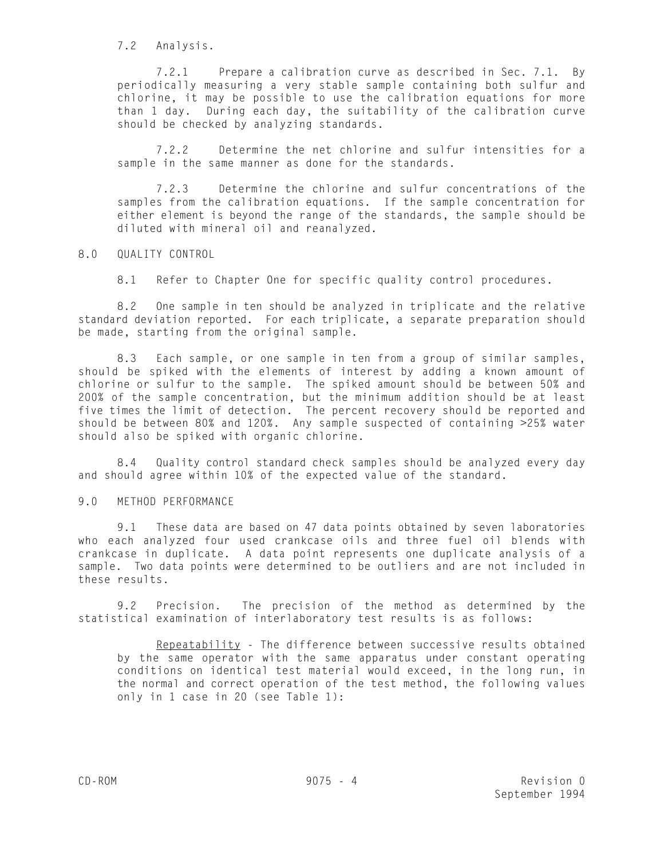7.2 Analysis.

7.2.1 Prepare a calibration curve as described in Sec. 7.1. By periodically measuring a very stable sample containing both sulfur and chlorine, it may be possible to use the calibration equations for more than 1 day. During each day, the suitability of the calibration curve should be checked by analyzing standards.

7.2.2 Determine the net chlorine and sulfur intensities for a sample in the same manner as done for the standards.

7.2.3 Determine the chlorine and sulfur concentrations of the samples from the calibration equations. If the sample concentration for either element is beyond the range of the standards, the sample should be diluted with mineral oil and reanalyzed.

8.0 QUALITY CONTROL

8.1 Refer to Chapter One for specific quality control procedures.

8.2 One sample in ten should be analyzed in triplicate and the relative standard deviation reported. For each triplicate, a separate preparation should be made, starting from the original sample.

8.3 Each sample, or one sample in ten from a group of similar samples, should be spiked with the elements of interest by adding a known amount of chlorine or sulfur to the sample. The spiked amount should be between 50% and 200% of the sample concentration, but the minimum addition should be at least five times the limit of detection. The percent recovery should be reported and should be between 80% and 120%. Any sample suspected of containing >25% water should also be spiked with organic chlorine.

8.4 Quality control standard check samples should be analyzed every day and should agree within 10% of the expected value of the standard.

## 9.0 METHOD PERFORMANCE

9.1 These data are based on 47 data points obtained by seven laboratories who each analyzed four used crankcase oils and three fuel oil blends with crankcase in duplicate. A data point represents one duplicate analysis of a sample. Two data points were determined to be outliers and are not included in these results.

9.2 Precision. The precision of the method as determined by the statistical examination of interlaboratory test results is as follows:

Repeatability - The difference between successive results obtained by the same operator with the same apparatus under constant operating conditions on identical test material would exceed, in the long run, in the normal and correct operation of the test method, the following values only in 1 case in 20 (see Table 1):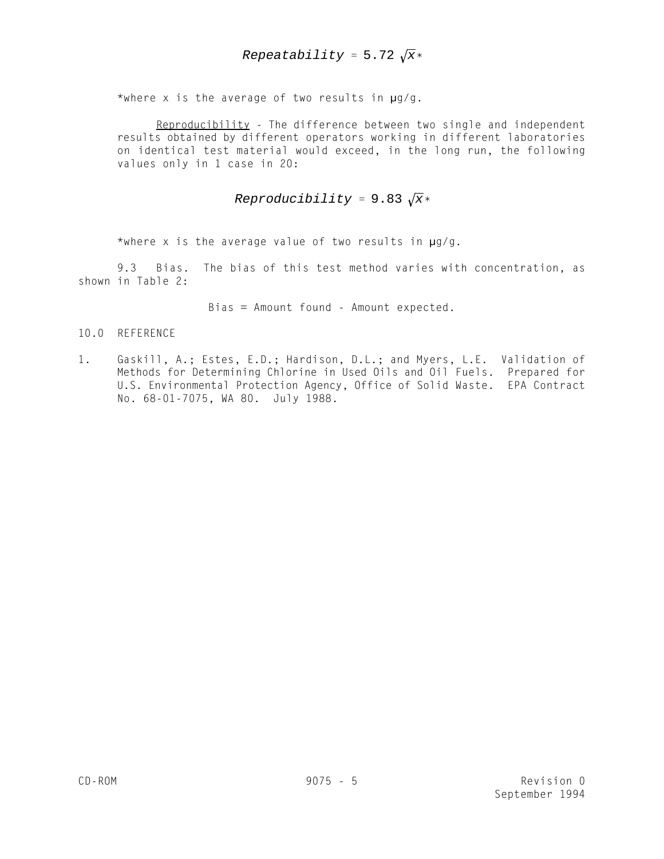\*where x is the average of two results in  $\mu$ g/g.

Reproducibility - The difference between two single and independent results obtained by different operators working in different laboratories on identical test material would exceed, in the long run, the following values only in 1 case in 20:

# *Reproducibility* = 9.83  $\sqrt{x}$ \*

\*where x is the average value of two results in  $\mu$ g/g.

9.3 Bias. The bias of this test method varies with concentration, as shown in Table 2:

Bias = Amount found - Amount expected.

## 10.0 REFERENCE

1. Gaskill, A.; Estes, E.D.; Hardison, D.L.; and Myers, L.E. Validation of Methods for Determining Chlorine in Used Oils and Oil Fuels. Prepared for U.S. Environmental Protection Agency, Office of Solid Waste. EPA Contract No. 68-01-7075, WA 80. July 1988.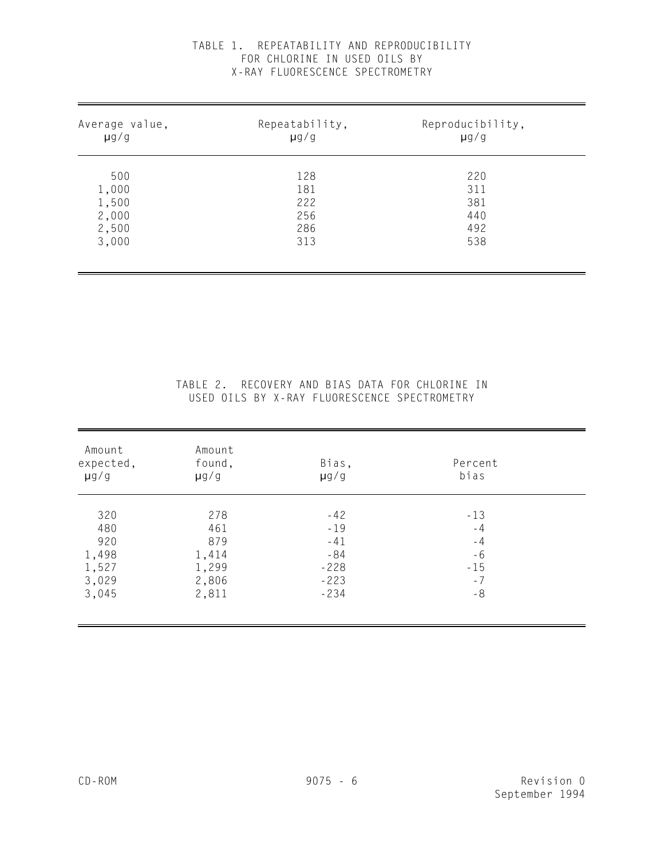|  |                                 |  | TABLE 1. REPEATABILITY AND REPRODUCIBILITY |
|--|---------------------------------|--|--------------------------------------------|
|  | FOR CHLORINE IN USED OILS BY    |  |                                            |
|  | X-RAY FIUORESCENCE SPECTROMETRY |  |                                            |

| Average value,<br>$\mu$ g/g | Repeatability,<br>$\mu$ g/g | Reproducibility,<br>$\mu$ g/g |  |
|-----------------------------|-----------------------------|-------------------------------|--|
| 500                         | 128<br>181                  | 220<br>311                    |  |
| 1,000<br>1,500              | 222                         | 381                           |  |
| 2,000<br>2,500              | 256<br>286                  | 440<br>492                    |  |
| 3,000                       | 313                         | 538                           |  |

## TABLE 2. RECOVERY AND BIAS DATA FOR CHLORINE IN USED OILS BY X-RAY FLUORESCENCE SPECTROMETRY

| Amount<br>expected,<br>$\mu$ g/g | Amount<br>found,<br>$\mu$ g/g | Bias,<br>$\mu$ g/g | Percent<br>bias |  |
|----------------------------------|-------------------------------|--------------------|-----------------|--|
| 320                              | 278                           | $-42$              | $-13$           |  |
| 480                              | 461                           | $-19$              | $-4$            |  |
| 920                              | 879                           | $-41$              | $-4$            |  |
| 1,498                            | 1,414                         | $-84$              | $-6$            |  |
| 1,527                            | 1,299                         | $-228$             | $-15$           |  |
| 3,029                            | 2,806                         | $-223$             | $-7$            |  |
| 3,045                            | 2,811                         | $-234$             | $-8$            |  |

i.

l,